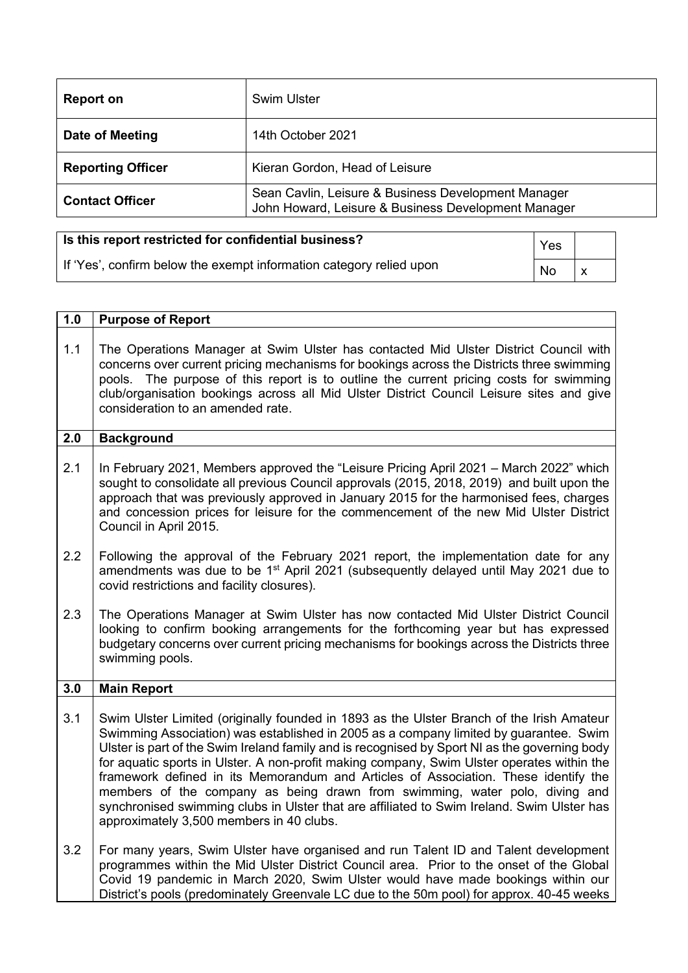| <b>Report on</b>         | <b>Swim Ulster</b>                                                                                         |
|--------------------------|------------------------------------------------------------------------------------------------------------|
| Date of Meeting          | 14th October 2021                                                                                          |
| <b>Reporting Officer</b> | Kieran Gordon, Head of Leisure                                                                             |
| <b>Contact Officer</b>   | Sean Cavlin, Leisure & Business Development Manager<br>John Howard, Leisure & Business Development Manager |
|                          |                                                                                                            |

| Is this report restricted for confidential business?                | Yes |  |
|---------------------------------------------------------------------|-----|--|
| If 'Yes', confirm below the exempt information category relied upon | No  |  |

| 1.0 | <b>Purpose of Report</b>                                                                                                                                                                                                                                                                                                                                                                                                                                                                                                                                                                                                                                                                          |
|-----|---------------------------------------------------------------------------------------------------------------------------------------------------------------------------------------------------------------------------------------------------------------------------------------------------------------------------------------------------------------------------------------------------------------------------------------------------------------------------------------------------------------------------------------------------------------------------------------------------------------------------------------------------------------------------------------------------|
| 1.1 | The Operations Manager at Swim Ulster has contacted Mid Ulster District Council with<br>concerns over current pricing mechanisms for bookings across the Districts three swimming<br>pools. The purpose of this report is to outline the current pricing costs for swimming<br>club/organisation bookings across all Mid Ulster District Council Leisure sites and give<br>consideration to an amended rate.                                                                                                                                                                                                                                                                                      |
| 2.0 | <b>Background</b>                                                                                                                                                                                                                                                                                                                                                                                                                                                                                                                                                                                                                                                                                 |
| 2.1 | In February 2021, Members approved the "Leisure Pricing April 2021 - March 2022" which<br>sought to consolidate all previous Council approvals (2015, 2018, 2019) and built upon the<br>approach that was previously approved in January 2015 for the harmonised fees, charges<br>and concession prices for leisure for the commencement of the new Mid Ulster District<br>Council in April 2015.                                                                                                                                                                                                                                                                                                 |
| 2.2 | Following the approval of the February 2021 report, the implementation date for any<br>amendments was due to be 1 <sup>st</sup> April 2021 (subsequently delayed until May 2021 due to<br>covid restrictions and facility closures).                                                                                                                                                                                                                                                                                                                                                                                                                                                              |
| 2.3 | The Operations Manager at Swim Ulster has now contacted Mid Ulster District Council<br>looking to confirm booking arrangements for the forthcoming year but has expressed<br>budgetary concerns over current pricing mechanisms for bookings across the Districts three<br>swimming pools.                                                                                                                                                                                                                                                                                                                                                                                                        |
| 3.0 | <b>Main Report</b>                                                                                                                                                                                                                                                                                                                                                                                                                                                                                                                                                                                                                                                                                |
| 3.1 | Swim Ulster Limited (originally founded in 1893 as the Ulster Branch of the Irish Amateur<br>Swimming Association) was established in 2005 as a company limited by guarantee. Swim<br>Ulster is part of the Swim Ireland family and is recognised by Sport NI as the governing body<br>for aquatic sports in Ulster. A non-profit making company, Swim Ulster operates within the<br>framework defined in its Memorandum and Articles of Association. These identify the<br>members of the company as being drawn from swimming, water polo, diving and<br>synchronised swimming clubs in Ulster that are affiliated to Swim Ireland. Swim Ulster has<br>approximately 3,500 members in 40 clubs. |
| 3.2 | For many years, Swim Ulster have organised and run Talent ID and Talent development<br>programmes within the Mid Ulster District Council area. Prior to the onset of the Global<br>Covid 19 pandemic in March 2020, Swim Ulster would have made bookings within our<br>District's pools (predominately Greenvale LC due to the 50m pool) for approx. 40-45 weeks                                                                                                                                                                                                                                                                                                                                  |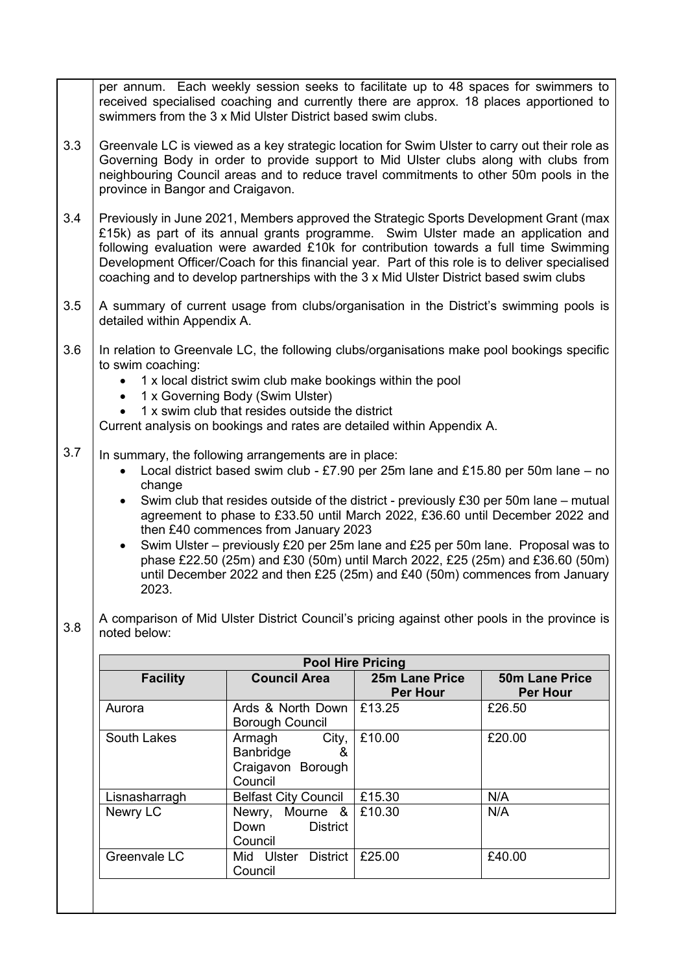| per annum. Each weekly session seeks to facilitate up to 48 spaces for swimmers to<br>received specialised coaching and currently there are approx. 18 places apportioned to<br>swimmers from the 3 x Mid Ulster District based swim clubs.<br>3.3<br>Greenvale LC is viewed as a key strategic location for Swim Ulster to carry out their role as<br>Governing Body in order to provide support to Mid Ulster clubs along with clubs from<br>neighbouring Council areas and to reduce travel commitments to other 50m pools in the<br>province in Bangor and Craigavon.<br>3.4<br>Previously in June 2021, Members approved the Strategic Sports Development Grant (max<br>£15k) as part of its annual grants programme. Swim Ulster made an application and<br>following evaluation were awarded £10k for contribution towards a full time Swimming<br>Development Officer/Coach for this financial year. Part of this role is to deliver specialised<br>coaching and to develop partnerships with the 3 x Mid Ulster District based swim clubs<br>3.5<br>A summary of current usage from clubs/organisation in the District's swimming pools is<br>detailed within Appendix A.<br>3.6<br>In relation to Greenvale LC, the following clubs/organisations make pool bookings specific<br>to swim coaching:<br>1 x local district swim club make bookings within the pool<br>1 x Governing Body (Swim Ulster)<br>1 x swim club that resides outside the district<br>Current analysis on bookings and rates are detailed within Appendix A.<br>3.7<br>In summary, the following arrangements are in place:<br>Local district based swim club - £7.90 per 25m lane and £15.80 per 50m lane $-$ no<br>$\bullet$<br>change<br>Swim club that resides outside of the district - previously £30 per 50m lane – mutual<br>$\bullet$<br>agreement to phase to £33.50 until March 2022, £36.60 until December 2022 and<br>then £40 commences from January 2023<br>Swim Ulster – previously £20 per 25m lane and £25 per 50m lane. Proposal was to<br>$\bullet$<br>phase £22.50 (25m) and £30 (50m) until March 2022, £25 (25m) and £36.60 (50m)<br>until December 2022 and then £25 (25m) and £40 (50m) commences from January<br>2023.<br>A comparison of Mid Ulster District Council's pricing against other pools in the province is<br>3.8<br>noted below: |
|--------------------------------------------------------------------------------------------------------------------------------------------------------------------------------------------------------------------------------------------------------------------------------------------------------------------------------------------------------------------------------------------------------------------------------------------------------------------------------------------------------------------------------------------------------------------------------------------------------------------------------------------------------------------------------------------------------------------------------------------------------------------------------------------------------------------------------------------------------------------------------------------------------------------------------------------------------------------------------------------------------------------------------------------------------------------------------------------------------------------------------------------------------------------------------------------------------------------------------------------------------------------------------------------------------------------------------------------------------------------------------------------------------------------------------------------------------------------------------------------------------------------------------------------------------------------------------------------------------------------------------------------------------------------------------------------------------------------------------------------------------------------------------------------------------------------------------------------------------------------------------------------------------------------------------------------------------------------------------------------------------------------------------------------------------------------------------------------------------------------------------------------------------------------------------------------------------------------------------------------------------------------------------------------------------------------------------------------------------|
|                                                                                                                                                                                                                                                                                                                                                                                                                                                                                                                                                                                                                                                                                                                                                                                                                                                                                                                                                                                                                                                                                                                                                                                                                                                                                                                                                                                                                                                                                                                                                                                                                                                                                                                                                                                                                                                                                                                                                                                                                                                                                                                                                                                                                                                                                                                                                        |
|                                                                                                                                                                                                                                                                                                                                                                                                                                                                                                                                                                                                                                                                                                                                                                                                                                                                                                                                                                                                                                                                                                                                                                                                                                                                                                                                                                                                                                                                                                                                                                                                                                                                                                                                                                                                                                                                                                                                                                                                                                                                                                                                                                                                                                                                                                                                                        |
|                                                                                                                                                                                                                                                                                                                                                                                                                                                                                                                                                                                                                                                                                                                                                                                                                                                                                                                                                                                                                                                                                                                                                                                                                                                                                                                                                                                                                                                                                                                                                                                                                                                                                                                                                                                                                                                                                                                                                                                                                                                                                                                                                                                                                                                                                                                                                        |
|                                                                                                                                                                                                                                                                                                                                                                                                                                                                                                                                                                                                                                                                                                                                                                                                                                                                                                                                                                                                                                                                                                                                                                                                                                                                                                                                                                                                                                                                                                                                                                                                                                                                                                                                                                                                                                                                                                                                                                                                                                                                                                                                                                                                                                                                                                                                                        |
|                                                                                                                                                                                                                                                                                                                                                                                                                                                                                                                                                                                                                                                                                                                                                                                                                                                                                                                                                                                                                                                                                                                                                                                                                                                                                                                                                                                                                                                                                                                                                                                                                                                                                                                                                                                                                                                                                                                                                                                                                                                                                                                                                                                                                                                                                                                                                        |
|                                                                                                                                                                                                                                                                                                                                                                                                                                                                                                                                                                                                                                                                                                                                                                                                                                                                                                                                                                                                                                                                                                                                                                                                                                                                                                                                                                                                                                                                                                                                                                                                                                                                                                                                                                                                                                                                                                                                                                                                                                                                                                                                                                                                                                                                                                                                                        |
|                                                                                                                                                                                                                                                                                                                                                                                                                                                                                                                                                                                                                                                                                                                                                                                                                                                                                                                                                                                                                                                                                                                                                                                                                                                                                                                                                                                                                                                                                                                                                                                                                                                                                                                                                                                                                                                                                                                                                                                                                                                                                                                                                                                                                                                                                                                                                        |

| <b>Pool Hire Pricing</b>                                                                |                                                       |                                   |                                          |  |
|-----------------------------------------------------------------------------------------|-------------------------------------------------------|-----------------------------------|------------------------------------------|--|
| <b>Facility</b>                                                                         | <b>Council Area</b>                                   | 25m Lane Price<br><b>Per Hour</b> | <b>50m Lane Price</b><br><b>Per Hour</b> |  |
| Aurora                                                                                  | Ards & North Down<br><b>Borough Council</b>           | £13.25                            | £26.50                                   |  |
| South Lakes<br>City,<br>Armagh<br>&<br><b>Banbridge</b><br>Craigavon Borough<br>Council |                                                       | £10.00                            | £20.00                                   |  |
| Lisnasharragh                                                                           | <b>Belfast City Council</b>                           | £15.30                            | N/A                                      |  |
| Newry LC                                                                                | Newry, Mourne &<br><b>District</b><br>Down<br>Council | £10.30                            | N/A                                      |  |
| Greenvale LC                                                                            | Mid Ulster<br>District<br>Council                     | £25.00                            | £40.00                                   |  |
|                                                                                         |                                                       |                                   |                                          |  |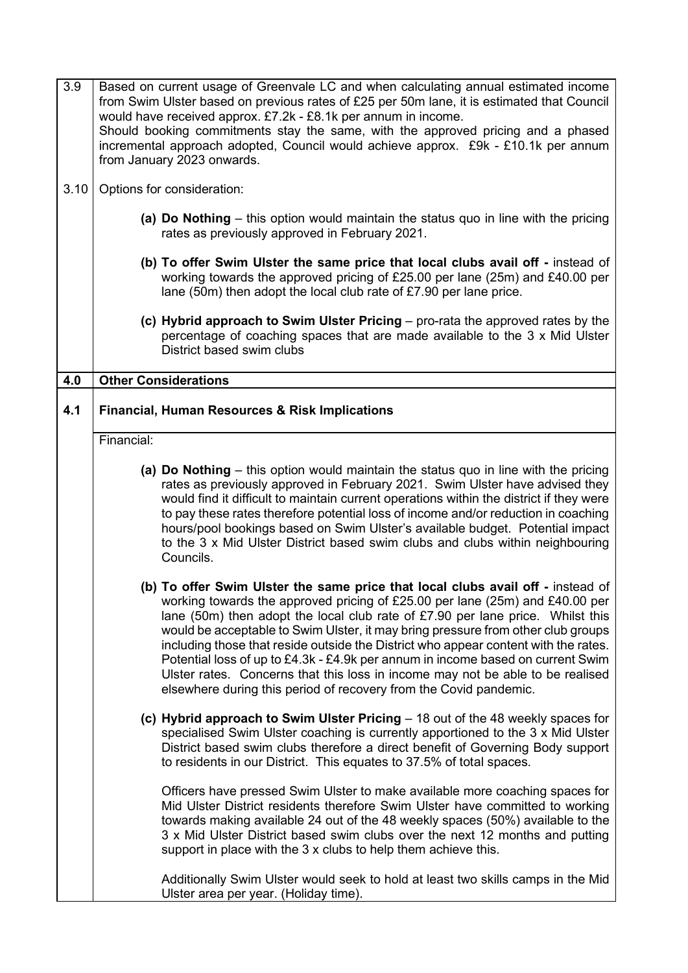| Based on current usage of Greenvale LC and when calculating annual estimated income<br>from Swim Ulster based on previous rates of £25 per 50m lane, it is estimated that Council<br>would have received approx. £7.2k - £8.1k per annum in income.<br>Should booking commitments stay the same, with the approved pricing and a phased<br>incremental approach adopted, Council would achieve approx. £9k - £10.1k per annum<br>from January 2023 onwards.                                                                                                                                                                                                            |  |  |
|------------------------------------------------------------------------------------------------------------------------------------------------------------------------------------------------------------------------------------------------------------------------------------------------------------------------------------------------------------------------------------------------------------------------------------------------------------------------------------------------------------------------------------------------------------------------------------------------------------------------------------------------------------------------|--|--|
| Options for consideration:                                                                                                                                                                                                                                                                                                                                                                                                                                                                                                                                                                                                                                             |  |  |
| (a) Do Nothing – this option would maintain the status quo in line with the pricing<br>rates as previously approved in February 2021.                                                                                                                                                                                                                                                                                                                                                                                                                                                                                                                                  |  |  |
| (b) To offer Swim Ulster the same price that local clubs avail off - instead of<br>working towards the approved pricing of £25.00 per lane (25m) and £40.00 per<br>lane (50m) then adopt the local club rate of $£7.90$ per lane price.                                                                                                                                                                                                                                                                                                                                                                                                                                |  |  |
| (c) Hybrid approach to Swim Ulster Pricing $-$ pro-rata the approved rates by the<br>percentage of coaching spaces that are made available to the 3 x Mid Ulster<br>District based swim clubs                                                                                                                                                                                                                                                                                                                                                                                                                                                                          |  |  |
| <b>Other Considerations</b>                                                                                                                                                                                                                                                                                                                                                                                                                                                                                                                                                                                                                                            |  |  |
| Financial, Human Resources & Risk Implications                                                                                                                                                                                                                                                                                                                                                                                                                                                                                                                                                                                                                         |  |  |
| Financial:                                                                                                                                                                                                                                                                                                                                                                                                                                                                                                                                                                                                                                                             |  |  |
| (a) Do Nothing – this option would maintain the status quo in line with the pricing<br>rates as previously approved in February 2021. Swim Ulster have advised they<br>would find it difficult to maintain current operations within the district if they were<br>to pay these rates therefore potential loss of income and/or reduction in coaching<br>hours/pool bookings based on Swim Ulster's available budget. Potential impact<br>to the 3 x Mid Ulster District based swim clubs and clubs within neighbouring<br>Councils.                                                                                                                                    |  |  |
| (b) To offer Swim Ulster the same price that local clubs avail off - instead of<br>working towards the approved pricing of £25.00 per lane (25m) and £40.00 per<br>lane (50m) then adopt the local club rate of £7.90 per lane price. Whilst this<br>would be acceptable to Swim Ulster, it may bring pressure from other club groups<br>including those that reside outside the District who appear content with the rates.<br>Potential loss of up to £4.3k - £4.9k per annum in income based on current Swim<br>Ulster rates. Concerns that this loss in income may not be able to be realised<br>elsewhere during this period of recovery from the Covid pandemic. |  |  |
| (c) Hybrid approach to Swim Ulster Pricing $-18$ out of the 48 weekly spaces for<br>specialised Swim Ulster coaching is currently apportioned to the 3 x Mid Ulster<br>District based swim clubs therefore a direct benefit of Governing Body support<br>to residents in our District. This equates to 37.5% of total spaces.                                                                                                                                                                                                                                                                                                                                          |  |  |
| Officers have pressed Swim Ulster to make available more coaching spaces for<br>Mid Ulster District residents therefore Swim Ulster have committed to working<br>towards making available 24 out of the 48 weekly spaces (50%) available to the<br>3 x Mid Ulster District based swim clubs over the next 12 months and putting<br>support in place with the 3 x clubs to help them achieve this.<br>Additionally Swim Ulster would seek to hold at least two skills camps in the Mid<br>Ulster area per year. (Holiday time).                                                                                                                                         |  |  |
|                                                                                                                                                                                                                                                                                                                                                                                                                                                                                                                                                                                                                                                                        |  |  |